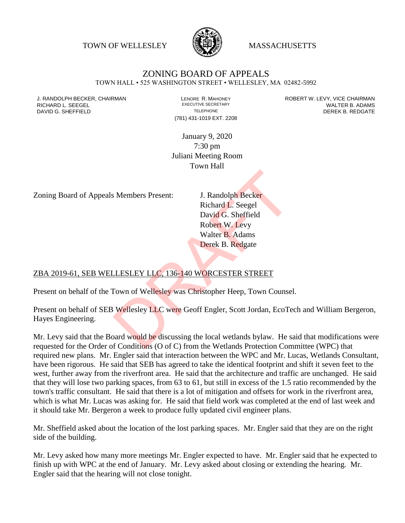TOWN OF WELLESLEY WASSACHUSETTS



# ZONING BOARD OF APPEALS

TOWN HALL • 525 WASHINGTON STREET • WELLESLEY, MA 02482-5992

(781) 431-1019 EXT. 2208

J. RANDOLPH BECKER, CHAIRMAN LAND LENORE R. MAHONEY LEWING AN ANDERT W. LEVY, VICE CHAIRMAN LAND LENORE R. MAHONEY<br>RICHARD L. SFFGFI LADAMS RICHARD L. SEEGEL **EXECUTIVE SECRETARY CONTROLL SEEGETARY** WALTER B. ADAMS DAVID G. SHEFFIELD **TELEPHONE** TELEPHONE TELEPHONE **TELEPHONE DEREK B. REDGATE** 

> January 9, 2020 7:30 pm Juliani Meeting Room Town Hall

Zoning Board of Appeals Members Present: J. Randolph Becker

Richard L. Seegel David G. Sheffield Robert W. Levy Walter B. Adams Derek B. Redgate I. Randolph Becker<br>
Richard L. Seegel<br>
David G. Sheffield<br>
Robert W. Levy<br>
Walter B. Adams<br>
Derek B. Redgate<br>
LESLEY LLC, 136-140 WORCESTER STREET<br>
Town of Wellesley was Christopher Heep, Town Counse<br>
Wellesley LLC were Ge

### ZBA 2019-61, SEB WELLESLEY LLC, 136-140 WORCESTER STREET

Present on behalf of the Town of Wellesley was Christopher Heep, Town Counsel.

Present on behalf of SEB Wellesley LLC were Geoff Engler, Scott Jordan, EcoTech and William Bergeron, Hayes Engineering.

Mr. Levy said that the Board would be discussing the local wetlands bylaw. He said that modifications were requested for the Order of Conditions (O of C) from the Wetlands Protection Committee (WPC) that required new plans. Mr. Engler said that interaction between the WPC and Mr. Lucas, Wetlands Consultant, have been rigorous. He said that SEB has agreed to take the identical footprint and shift it seven feet to the west, further away from the riverfront area. He said that the architecture and traffic are unchanged. He said that they will lose two parking spaces, from 63 to 61, but still in excess of the 1.5 ratio recommended by the town's traffic consultant. He said that there is a lot of mitigation and offsets for work in the riverfront area, which is what Mr. Lucas was asking for. He said that field work was completed at the end of last week and it should take Mr. Bergeron a week to produce fully updated civil engineer plans.

Mr. Sheffield asked about the location of the lost parking spaces. Mr. Engler said that they are on the right side of the building.

Mr. Levy asked how many more meetings Mr. Engler expected to have. Mr. Engler said that he expected to finish up with WPC at the end of January. Mr. Levy asked about closing or extending the hearing. Mr. Engler said that the hearing will not close tonight.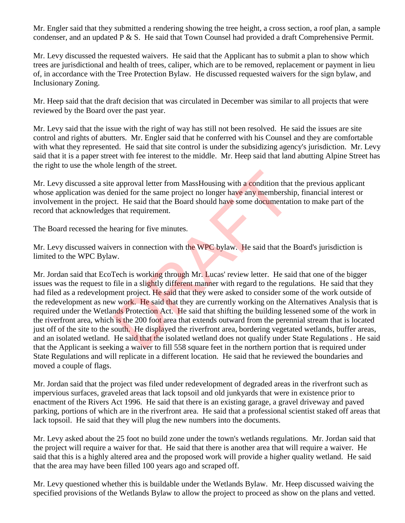Mr. Engler said that they submitted a rendering showing the tree height, a cross section, a roof plan, a sample condenser, and an updated P & S. He said that Town Counsel had provided a draft Comprehensive Permit.

Mr. Levy discussed the requested waivers. He said that the Applicant has to submit a plan to show which trees are jurisdictional and health of trees, caliper, which are to be removed, replacement or payment in lieu of, in accordance with the Tree Protection Bylaw. He discussed requested waivers for the sign bylaw, and Inclusionary Zoning.

Mr. Heep said that the draft decision that was circulated in December was similar to all projects that were reviewed by the Board over the past year.

Mr. Levy said that the issue with the right of way has still not been resolved. He said the issues are site control and rights of abutters. Mr. Engler said that he conferred with his Counsel and they are comfortable with what they represented. He said that site control is under the subsidizing agency's jurisdiction. Mr. Levy said that it is a paper street with fee interest to the middle. Mr. Heep said that land abutting Alpine Street has the right to use the whole length of the street.

Mr. Levy discussed a site approval letter from MassHousing with a condition that the previous applicant whose application was denied for the same project no longer have any membership, financial interest or involvement in the project. He said that the Board should have some documentation to make part of the record that acknowledges that requirement.

The Board recessed the hearing for five minutes.

Mr. Levy discussed waivers in connection with the WPC bylaw. He said that the Board's jurisdiction is limited to the WPC Bylaw.

Mr. Jordan said that EcoTech is working through Mr. Lucas' review letter. He said that one of the bigger issues was the request to file in a slightly different manner with regard to the regulations. He said that they had filed as a redevelopment project. He said that they were asked to consider some of the work outside of the redevelopment as new work. He said that they are currently working on the Alternatives Analysis that is required under the Wetlands Protection Act. He said that shifting the building lessened some of the work in the riverfront area, which is the 200 foot area that extends outward from the perennial stream that is located just off of the site to the south. He displayed the riverfront area, bordering vegetated wetlands, buffer areas, and an isolated wetland. He said that the isolated wetland does not qualify under State Regulations . He said that the Applicant is seeking a waiver to fill 558 square feet in the northern portion that is required under State Regulations and will replicate in a different location. He said that he reviewed the boundaries and moved a couple of flags. example approval letter from MassHousing with a condition that<br>enied for the same project no longer have any membershiptic enies and that the Board should have some documentation<br>that requirement.<br>earing for five minutes.<br>

Mr. Jordan said that the project was filed under redevelopment of degraded areas in the riverfront such as impervious surfaces, graveled areas that lack topsoil and old junkyards that were in existence prior to enactment of the Rivers Act 1996. He said that there is an existing garage, a gravel driveway and paved parking, portions of which are in the riverfront area. He said that a professional scientist staked off areas that lack topsoil. He said that they will plug the new numbers into the documents.

Mr. Levy asked about the 25 foot no build zone under the town's wetlands regulations. Mr. Jordan said that the project will require a waiver for that. He said that there is another area that will require a waiver. He said that this is a highly altered area and the proposed work will provide a higher quality wetland. He said that the area may have been filled 100 years ago and scraped off.

Mr. Levy questioned whether this is buildable under the Wetlands Bylaw. Mr. Heep discussed waiving the specified provisions of the Wetlands Bylaw to allow the project to proceed as show on the plans and vetted.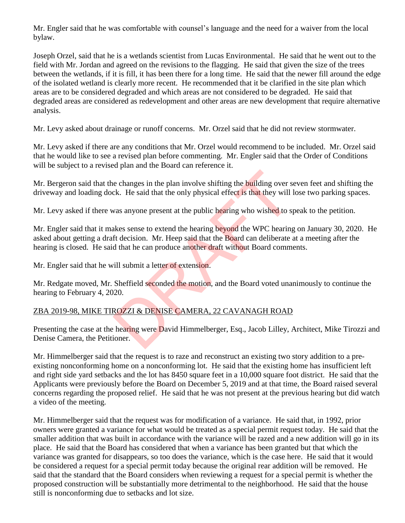Mr. Engler said that he was comfortable with counsel's language and the need for a waiver from the local bylaw.

Joseph Orzel, said that he is a wetlands scientist from Lucas Environmental. He said that he went out to the field with Mr. Jordan and agreed on the revisions to the flagging. He said that given the size of the trees between the wetlands, if it is fill, it has been there for a long time. He said that the newer fill around the edge of the isolated wetland is clearly more recent. He recommended that it be clarified in the site plan which areas are to be considered degraded and which areas are not considered to be degraded. He said that degraded areas are considered as redevelopment and other areas are new development that require alternative analysis.

Mr. Levy asked about drainage or runoff concerns. Mr. Orzel said that he did not review stormwater.

Mr. Levy asked if there are any conditions that Mr. Orzel would recommend to be included. Mr. Orzel said that he would like to see a revised plan before commenting. Mr. Engler said that the Order of Conditions will be subject to a revised plan and the Board can reference it.

Mr. Bergeron said that the changes in the plan involve shifting the building over seven feet and shifting the driveway and loading dock. He said that the only physical effect is that they will lose two parking spaces.

Mr. Levy asked if there was anyone present at the public hearing who wished to speak to the petition.

Mr. Engler said that it makes sense to extend the hearing beyond the WPC hearing on January 30, 2020. He asked about getting a draft decision. Mr. Heep said that the Board can deliberate at a meeting after the hearing is closed. He said that he can produce another draft without Board comments. e changes in the plan involve shifting the building over sck. He said that the only physical effect is that they will<br>was anyone present at the public hearing who wished to s<br>akes sense to extend the hearing beyond the WPC

Mr. Engler said that he will submit a letter of extension.

Mr. Redgate moved, Mr. Sheffield seconded the motion, and the Board voted unanimously to continue the hearing to February 4, 2020.

## ZBA 2019-98, MIKE TIROZZI & DENISE CAMERA, 22 CAVANAGH ROAD

Presenting the case at the hearing were David Himmelberger, Esq., Jacob Lilley, Architect, Mike Tirozzi and Denise Camera, the Petitioner.

Mr. Himmelberger said that the request is to raze and reconstruct an existing two story addition to a preexisting nonconforming home on a nonconforming lot. He said that the existing home has insufficient left and right side yard setbacks and the lot has 8450 square feet in a 10,000 square foot district. He said that the Applicants were previously before the Board on December 5, 2019 and at that time, the Board raised several concerns regarding the proposed relief. He said that he was not present at the previous hearing but did watch a video of the meeting.

Mr. Himmelberger said that the request was for modification of a variance. He said that, in 1992, prior owners were granted a variance for what would be treated as a special permit request today. He said that the smaller addition that was built in accordance with the variance will be razed and a new addition will go in its place. He said that the Board has considered that when a variance has been granted but that which the variance was granted for disappears, so too does the variance, which is the case here. He said that it would be considered a request for a special permit today because the original rear addition will be removed. He said that the standard that the Board considers when reviewing a request for a special permit is whether the proposed construction will be substantially more detrimental to the neighborhood. He said that the house still is nonconforming due to setbacks and lot size.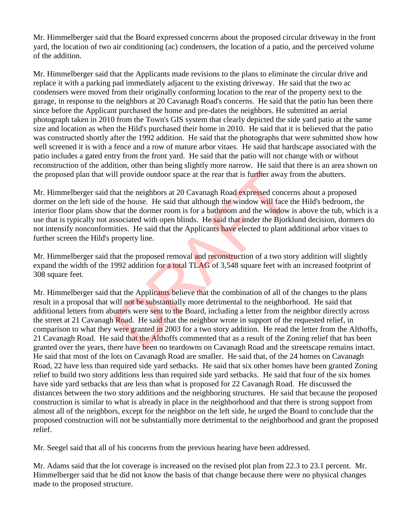Mr. Himmelberger said that the Board expressed concerns about the proposed circular driveway in the front yard, the location of two air conditioning (ac) condensers, the location of a patio, and the perceived volume of the addition.

Mr. Himmelberger said that the Applicants made revisions to the plans to eliminate the circular drive and replace it with a parking pad immediately adjacent to the existing driveway. He said that the two ac condensers were moved from their originally conforming location to the rear of the property next to the garage, in response to the neighbors at 20 Cavanagh Road's concerns. He said that the patio has been there since before the Applicant purchased the home and pre-dates the neighbors. He submitted an aerial photograph taken in 2010 from the Town's GIS system that clearly depicted the side yard patio at the same size and location as when the Hild's purchased their home in 2010. He said that it is believed that the patio was constructed shortly after the 1992 addition. He said that the photographs that were submitted show how well screened it is with a fence and a row of mature arbor vitaes. He said that hardscape associated with the patio includes a gated entry from the front yard. He said that the patio will not change with or without reconstruction of the addition, other than being slightly more narrow. He said that there is an area shown on the proposed plan that will provide outdoor space at the rear that is further away from the abutters.

Mr. Himmelberger said that the neighbors at 20 Cavanagh Road expressed concerns about a proposed dormer on the left side of the house. He said that although the window will face the Hild's bedroom, the interior floor plans show that the dormer room is for a bathroom and the window is above the tub, which is a use that is typically not associated with open blinds. He said that under the Bjorklund decision, dormers do not intensify nonconformities. He said that the Applicants have elected to plant additional arbor vitaes to further screen the Hild's property line.

Mr. Himmelberger said that the proposed removal and reconstruction of a two story addition will slightly expand the width of the 1992 addition for a total TLAG of 3,548 square feet with an increased footprint of 308 square feet.

Mr. Himmelberger said that the Applicants believe that the combination of all of the changes to the plans result in a proposal that will not be substantially more detrimental to the neighborhood. He said that additional letters from abutters were sent to the Board, including a letter from the neighbor directly across the street at 21 Cavanagh Road. He said that the neighbor wrote in support of the requested relief, in comparison to what they were granted in 2003 for a two story addition. He read the letter from the Althoffs, 21 Cavanagh Road. He said that the Althoffs commented that as a result of the Zoning relief that has been granted over the years, there have been no teardowns on Cavanagh Road and the streetscape remains intact. He said that most of the lots on Cavanagh Road are smaller. He said that, of the 24 homes on Cavanagh Road, 22 have less than required side yard setbacks. He said that six other homes have been granted Zoning relief to build two story additions less than required side yard setbacks. He said that four of the six homes have side yard setbacks that are less than what is proposed for 22 Cavanagh Road. He discussed the distances between the two story additions and the neighboring structures. He said that because the proposed construction is similar to what is already in place in the neighborhood and that there is strong support from almost all of the neighbors, except for the neighbor on the left side, he urged the Board to conclude that the proposed construction will not be substantially more detrimental to the neighborhood and grant the proposed relief. Il provide outdoor space at the rear that is further away f<br>hat the neighbors at 20 Cavanagh Road expressed concer<br>the house. He said that although the window will face t<br>that the dormer room is for a bathroom and the win

Mr. Seegel said that all of his concerns from the previous hearing have been addressed.

Mr. Adams said that the lot coverage is increased on the revised plot plan from 22.3 to 23.1 percent. Mr. Himmelberger said that he did not know the basis of that change because there were no physical changes made to the proposed structure.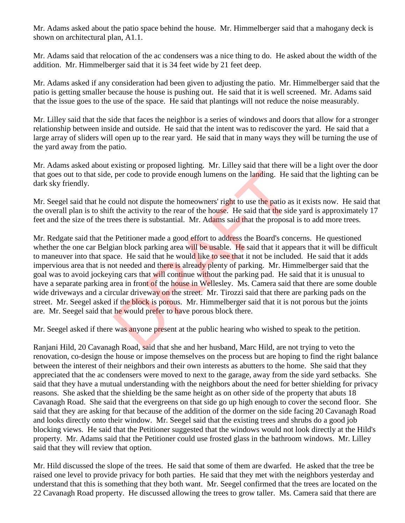Mr. Adams asked about the patio space behind the house. Mr. Himmelberger said that a mahogany deck is shown on architectural plan, A1.1.

Mr. Adams said that relocation of the ac condensers was a nice thing to do. He asked about the width of the addition. Mr. Himmelberger said that it is 34 feet wide by 21 feet deep.

Mr. Adams asked if any consideration had been given to adjusting the patio. Mr. Himmelberger said that the patio is getting smaller because the house is pushing out. He said that it is well screened. Mr. Adams said that the issue goes to the use of the space. He said that plantings will not reduce the noise measurably.

Mr. Lilley said that the side that faces the neighbor is a series of windows and doors that allow for a stronger relationship between inside and outside. He said that the intent was to rediscover the yard. He said that a large array of sliders will open up to the rear yard. He said that in many ways they will be turning the use of the yard away from the patio.

Mr. Adams asked about existing or proposed lighting. Mr. Lilley said that there will be a light over the door that goes out to that side, per code to provide enough lumens on the landing. He said that the lighting can be dark sky friendly.

Mr. Seegel said that he could not dispute the homeowners' right to use the patio as it exists now. He said that the overall plan is to shift the activity to the rear of the house. He said that the side yard is approximately 17 feet and the size of the trees there is substantial. Mr. Adams said that the proposal is to add more trees.

Mr. Redgate said that the Petitioner made a good effort to address the Board's concerns. He questioned whether the one car Belgian block parking area will be usable. He said that it appears that it will be difficult to maneuver into that space. He said that he would like to see that it not be included. He said that it adds impervious area that is not needed and there is already plenty of parking. Mr. Himmelberger said that the goal was to avoid jockeying cars that will continue without the parking pad. He said that it is unusual to have a separate parking area in front of the house in Wellesley. Ms. Camera said that there are some double wide driveways and a circular driveway on the street. Mr. Tirozzi said that there are parking pads on the street. Mr. Seegel asked if the **block** is porous. Mr. Himmelberger said that it is not porous but the joints are. Mr. Seegel said that he would prefer to have porous block there. per code to provide enough lumens on the landing. He s<br>per code to provide enough lumens on the landing. He s<br>patio as<br>t the activity to the rear of the house. He said that the sid<br>ees there is substantial. Mr. Adams said

Mr. Seegel asked if there was anyone present at the public hearing who wished to speak to the petition.

Ranjani Hild, 20 Cavanagh Road, said that she and her husband, Marc Hild, are not trying to veto the renovation, co-design the house or impose themselves on the process but are hoping to find the right balance between the interest of their neighbors and their own interests as abutters to the home. She said that they appreciated that the ac condensers were moved to next to the garage, away from the side yard setbacks. She said that they have a mutual understanding with the neighbors about the need for better shielding for privacy reasons. She asked that the shielding be the same height as on other side of the property that abuts 18 Cavanagh Road. She said that the evergreens on that side go up high enough to cover the second floor. She said that they are asking for that because of the addition of the dormer on the side facing 20 Cavanagh Road and looks directly onto their window. Mr. Seegel said that the existing trees and shrubs do a good job blocking views. He said that the Petitioner suggested that the windows would not look directly at the Hild's property. Mr. Adams said that the Petitioner could use frosted glass in the bathroom windows. Mr. Lilley said that they will review that option.

Mr. Hild discussed the slope of the trees. He said that some of them are dwarfed. He asked that the tree be raised one level to provide privacy for both parties. He said that they met with the neighbors yesterday and understand that this is something that they both want. Mr. Seegel confirmed that the trees are located on the 22 Cavanagh Road property. He discussed allowing the trees to grow taller. Ms. Camera said that there are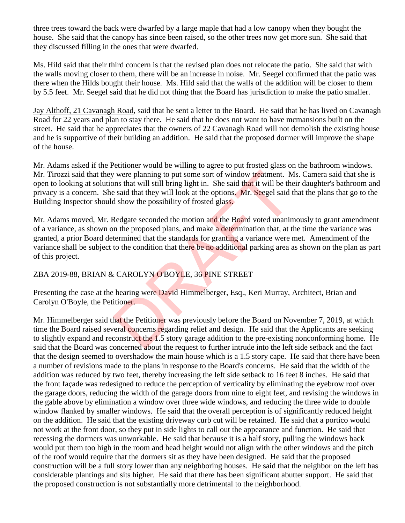three trees toward the back were dwarfed by a large maple that had a low canopy when they bought the house. She said that the canopy has since been raised, so the other trees now get more sun. She said that they discussed filling in the ones that were dwarfed.

Ms. Hild said that their third concern is that the revised plan does not relocate the patio. She said that with the walls moving closer to them, there will be an increase in noise. Mr. Seegel confirmed that the patio was there when the Hilds bought their house. Ms. Hild said that the walls of the addition will be closer to them by 5.5 feet. Mr. Seegel said that he did not thing that the Board has jurisdiction to make the patio smaller.

Jay Althoff, 21 Cavanagh Road, said that he sent a letter to the Board. He said that he has lived on Cavanagh Road for 22 years and plan to stay there. He said that he does not want to have mcmansions built on the street. He said that he appreciates that the owners of 22 Cavanagh Road will not demolish the existing house and he is supportive of their building an addition. He said that the proposed dormer will improve the shape of the house.

Mr. Adams asked if the Petitioner would be willing to agree to put frosted glass on the bathroom windows. Mr. Tirozzi said that they were planning to put some sort of window treatment. Ms. Camera said that she is open to looking at solutions that will still bring light in. She said that it will be their daughter's bathroom and privacy is a concern. She said that they will look at the options. Mr. Seegel said that the plans that go to the Building Inspector should show the possibility of frosted glass.

Mr. Adams moved, Mr. Redgate seconded the motion and the Board voted unanimously to grant amendment of a variance, as shown on the proposed plans, and make a determination that, at the time the variance was granted, a prior Board determined that the standards for granting a variance were met. Amendment of the variance shall be subject to the condition that there be no additional parking area as shown on the plan as part of this project. v were planning to put some sort of window treatment. M<br>
the said that will still bring light in. She said that it will be the<br>
e said that they will look at the options. Mr. Seegel said the<br>
d show the possibility of fros

### ZBA 2019-88, BRIAN & CAROLYN O'BOYLE, 36 PINE STREET

Presenting the case at the hearing were David Himmelberger, Esq., Keri Murray, Architect, Brian and Carolyn O'Boyle, the Petitioner.

Mr. Himmelberger said that the Petitioner was previously before the Board on November 7, 2019, at which time the Board raised several concerns regarding relief and design. He said that the Applicants are seeking to slightly expand and reconstruct the 1.5 story garage addition to the pre-existing nonconforming home. He said that the Board was concerned about the request to further intrude into the left side setback and the fact that the design seemed to overshadow the main house which is a 1.5 story cape. He said that there have been a number of revisions made to the plans in response to the Board's concerns. He said that the width of the addition was reduced by two feet, thereby increasing the left side setback to 16 feet 8 inches. He said that the front façade was redesigned to reduce the perception of verticality by eliminating the eyebrow roof over the garage doors, reducing the width of the garage doors from nine to eight feet, and revising the windows in the gable above by elimination a window over three wide windows, and reducing the three wide to double window flanked by smaller windows. He said that the overall perception is of significantly reduced height on the addition. He said that the existing driveway curb cut will be retained. He said that a portico would not work at the front door, so they put in side lights to call out the appearance and function. He said that recessing the dormers was unworkable. He said that because it is a half story, pulling the windows back would put them too high in the room and head height would not align with the other windows and the pitch of the roof would require that the dormers sit as they have been designed. He said that the proposed construction will be a full story lower than any neighboring houses. He said that the neighbor on the left has considerable plantings and sits higher. He said that there has been significant abutter support. He said that the proposed construction is not substantially more detrimental to the neighborhood.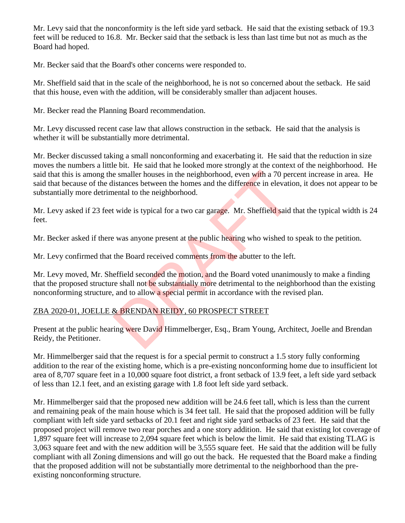Mr. Levy said that the nonconformity is the left side yard setback. He said that the existing setback of 19.3 feet will be reduced to 16.8. Mr. Becker said that the setback is less than last time but not as much as the Board had hoped.

Mr. Becker said that the Board's other concerns were responded to.

Mr. Sheffield said that in the scale of the neighborhood, he is not so concerned about the setback. He said that this house, even with the addition, will be considerably smaller than adjacent houses.

Mr. Becker read the Planning Board recommendation.

Mr. Levy discussed recent case law that allows construction in the setback. He said that the analysis is whether it will be substantially more detrimental.

Mr. Becker discussed taking a small nonconforming and exacerbating it. He said that the reduction in size moves the numbers a little bit. He said that he looked more strongly at the context of the neighborhood. He said that this is among the smaller houses in the neighborhood, even with a 70 percent increase in area. He said that because of the distances between the homes and the difference in elevation, it does not appear to be substantially more detrimental to the neighborhood. e smaller houses in the neighborhood, even with a 70 per<br>istances between the homes and the difference in elevation<br>tend to the neighborhood.<br>It wide is typical for a two car garage. Mr. Sheffield said<br>example was anyone p

Mr. Levy asked if 23 feet wide is typical for a two car garage. Mr. Sheffield said that the typical width is 24 feet.

Mr. Becker asked if there was anyone present at the public hearing who wished to speak to the petition.

Mr. Levy confirmed that the Board received comments from the abutter to the left.

Mr. Levy moved, Mr. Sheffield seconded the motion, and the Board voted unanimously to make a finding that the proposed structure shall not be substantially more detrimental to the neighborhood than the existing nonconforming structure, and to allow a special permit in accordance with the revised plan.

## ZBA 2020-01, JOELLE & BRENDAN REIDY, 60 PROSPECT STREET

Present at the public hearing were David Himmelberger, Esq., Bram Young, Architect, Joelle and Brendan Reidy, the Petitioner.

Mr. Himmelberger said that the request is for a special permit to construct a 1.5 story fully conforming addition to the rear of the existing home, which is a pre-existing nonconforming home due to insufficient lot area of 8,707 square feet in a 10,000 square foot district, a front setback of 13.9 feet, a left side yard setback of less than 12.1 feet, and an existing garage with 1.8 foot left side yard setback.

Mr. Himmelberger said that the proposed new addition will be 24.6 feet tall, which is less than the current and remaining peak of the main house which is 34 feet tall. He said that the proposed addition will be fully compliant with left side yard setbacks of 20.1 feet and right side yard setbacks of 23 feet. He said that the proposed project will remove two rear porches and a one story addition. He said that existing lot coverage of 1,897 square feet will increase to 2,094 square feet which is below the limit. He said that existing TLAG is 3,063 square feet and with the new addition will be 3,555 square feet. He said that the addition will be fully compliant with all Zoning dimensions and will go out the back. He requested that the Board make a finding that the proposed addition will not be substantially more detrimental to the neighborhood than the preexisting nonconforming structure.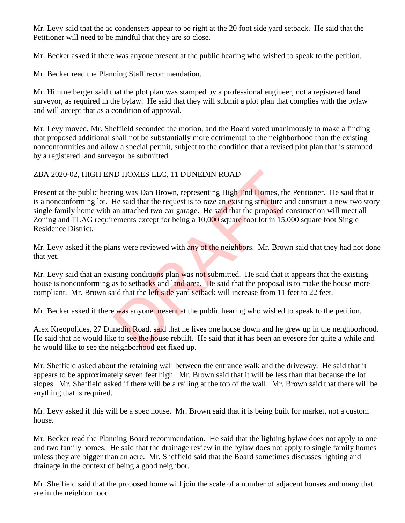Mr. Levy said that the ac condensers appear to be right at the 20 foot side yard setback. He said that the Petitioner will need to be mindful that they are so close.

Mr. Becker asked if there was anyone present at the public hearing who wished to speak to the petition.

Mr. Becker read the Planning Staff recommendation.

Mr. Himmelberger said that the plot plan was stamped by a professional engineer, not a registered land surveyor, as required in the bylaw. He said that they will submit a plot plan that complies with the bylaw and will accept that as a condition of approval.

Mr. Levy moved, Mr. Sheffield seconded the motion, and the Board voted unanimously to make a finding that proposed additional shall not be substantially more detrimental to the neighborhood than the existing nonconformities and allow a special permit, subject to the condition that a revised plot plan that is stamped by a registered land surveyor be submitted.

### ZBA 2020-02, HIGH END HOMES LLC, 11 DUNEDIN ROAD

Present at the public hearing was Dan Brown, representing High End Homes, the Petitioner. He said that it is a nonconforming lot. He said that the request is to raze an existing structure and construct a new two story single family home with an attached two car garage. He said that the proposed construction will meet all Zoning and TLAG requirements except for being a 10,000 square foot lot in 15,000 square foot Single Residence District. ID HOMES LLC, 11 DUNEDIN ROAD<br>
ing was Dan Brown, representing High End Homes, the<br>
He said that the request is to raze an existing structure and<br>
an attached two car garage. He said that the proposed co<br>
cerments except f

Mr. Levy asked if the plans were reviewed with any of the neighbors. Mr. Brown said that they had not done that yet.

Mr. Levy said that an existing conditions plan was not submitted. He said that it appears that the existing house is nonconforming as to setbacks and land area. He said that the proposal is to make the house more compliant. Mr. Brown said that the left side yard setback will increase from 11 feet to 22 feet.

Mr. Becker asked if there was anyone present at the public hearing who wished to speak to the petition.

Alex Kreopolides, 27 Dunedin Road, said that he lives one house down and he grew up in the neighborhood. He said that he would like to see the house rebuilt. He said that it has been an eyesore for quite a while and he would like to see the neighborhood get fixed up.

Mr. Sheffield asked about the retaining wall between the entrance walk and the driveway. He said that it appears to be approximately seven feet high. Mr. Brown said that it will be less than that because the lot slopes. Mr. Sheffield asked if there will be a railing at the top of the wall. Mr. Brown said that there will be anything that is required.

Mr. Levy asked if this will be a spec house. Mr. Brown said that it is being built for market, not a custom house.

Mr. Becker read the Planning Board recommendation. He said that the lighting bylaw does not apply to one and two family homes. He said that the drainage review in the bylaw does not apply to single family homes unless they are bigger than an acre. Mr. Sheffield said that the Board sometimes discusses lighting and drainage in the context of being a good neighbor.

Mr. Sheffield said that the proposed home will join the scale of a number of adjacent houses and many that are in the neighborhood.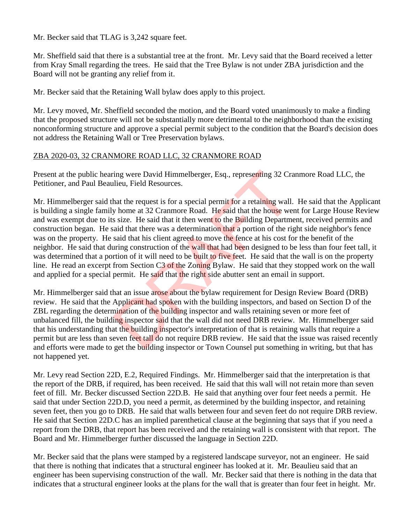Mr. Becker said that TLAG is 3,242 square feet.

Mr. Sheffield said that there is a substantial tree at the front. Mr. Levy said that the Board received a letter from Kray Small regarding the trees. He said that the Tree Bylaw is not under ZBA jurisdiction and the Board will not be granting any relief from it.

Mr. Becker said that the Retaining Wall bylaw does apply to this project.

Mr. Levy moved, Mr. Sheffield seconded the motion, and the Board voted unanimously to make a finding that the proposed structure will not be substantially more detrimental to the neighborhood than the existing nonconforming structure and approve a special permit subject to the condition that the Board's decision does not address the Retaining Wall or Tree Preservation bylaws.

### ZBA 2020-03, 32 CRANMORE ROAD LLC, 32 CRANMORE ROAD

Present at the public hearing were David Himmelberger, Esq., representing 32 Cranmore Road LLC, the Petitioner, and Paul Beaulieu, Field Resources.

Mr. Himmelberger said that the request is for a special permit for a retaining wall. He said that the Applicant is building a single family home at 32 Cranmore Road. He said that the house went for Large House Review and was exempt due to its size. He said that it then went to the Building Department, received permits and construction began. He said that there was a determination that a portion of the right side neighbor's fence was on the property. He said that his client agreed to move the fence at his cost for the benefit of the neighbor. He said that during construction of the wall that had been designed to be less than four feet tall, it was determined that a portion of it will need to be **built to five feet**. He said that the wall is on the property line. He read an excerpt from Section C3 of the Zoning Bylaw. He said that they stopped work on the wall and applied for a special permit. He said that the right side abutter sent an email in support. ing were David Himmelberger, Esq., representing 32 Crack<br>lieu, Field Resources.<br>
Anat the request is for a special permit for a retaining wall.<br>
y home at 32 Crammore Road. He said that the house we<br>
s size. He said that i

Mr. Himmelberger said that an issue arose about the bylaw requirement for Design Review Board (DRB) review. He said that the Applicant had spoken with the building inspectors, and based on Section D of the ZBL regarding the determination of the building inspector and walls retaining seven or more feet of unbalanced fill, the building inspector said that the wall did not need DRB review. Mr. Himmelberger said that his understanding that the building inspector's interpretation of that is retaining walls that require a permit but are less than seven feet tall do not require DRB review. He said that the issue was raised recently and efforts were made to get the building inspector or Town Counsel put something in writing, but that has not happened yet.

Mr. Levy read Section 22D, E.2, Required Findings. Mr. Himmelberger said that the interpretation is that the report of the DRB, if required, has been received. He said that this wall will not retain more than seven feet of fill. Mr. Becker discussed Section 22D.B. He said that anything over four feet needs a permit. He said that under Section 22D.D, you need a permit, as determined by the building inspector, and retaining seven feet, then you go to DRB. He said that walls between four and seven feet do not require DRB review. He said that Section 22D.C has an implied parenthetical clause at the beginning that says that if you need a report from the DRB, that report has been received and the retaining wall is consistent with that report. The Board and Mr. Himmelberger further discussed the language in Section 22D.

Mr. Becker said that the plans were stamped by a registered landscape surveyor, not an engineer. He said that there is nothing that indicates that a structural engineer has looked at it. Mr. Beaulieu said that an engineer has been supervising construction of the wall. Mr. Becker said that there is nothing in the data that indicates that a structural engineer looks at the plans for the wall that is greater than four feet in height. Mr.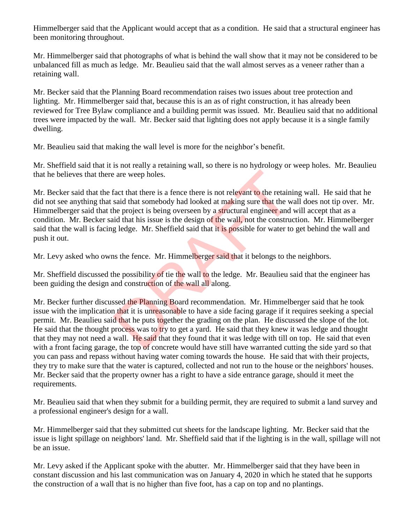Himmelberger said that the Applicant would accept that as a condition. He said that a structural engineer has been monitoring throughout.

Mr. Himmelberger said that photographs of what is behind the wall show that it may not be considered to be unbalanced fill as much as ledge. Mr. Beaulieu said that the wall almost serves as a veneer rather than a retaining wall.

Mr. Becker said that the Planning Board recommendation raises two issues about tree protection and lighting. Mr. Himmelberger said that, because this is an as of right construction, it has already been reviewed for Tree Bylaw compliance and a building permit was issued. Mr. Beaulieu said that no additional trees were impacted by the wall. Mr. Becker said that lighting does not apply because it is a single family dwelling.

Mr. Beaulieu said that making the wall level is more for the neighbor's benefit.

Mr. Sheffield said that it is not really a retaining wall, so there is no hydrology or weep holes. Mr. Beaulieu that he believes that there are weep holes.

Mr. Becker said that the fact that there is a fence there is not relevant to the retaining wall. He said that he did not see anything that said that somebody had looked at making sure that the wall does not tip over. Mr. Himmelberger said that the project is being overseen by a structural engineer and will accept that as a condition. Mr. Becker said that his issue is the design of the wall, not the construction. Mr. Himmelberger said that the wall is facing ledge. Mr. Sheffield said that it is possible for water to get behind the wall and push it out. Exerce weep holes.<br>
Fact that there is a fence there is not relevant to the retains<br>
said that somebody had looked at making sure that the w<br>
he project is being overseen by a structural engineer and<br>
id that his issue is

Mr. Levy asked who owns the fence. Mr. Himmelberger said that it belongs to the neighbors.

Mr. Sheffield discussed the possibility of tie the wall to the ledge. Mr. Beaulieu said that the engineer has been guiding the design and construction of the wall all along.

Mr. Becker further discussed the Planning Board recommendation. Mr. Himmelberger said that he took issue with the implication that it is unreasonable to have a side facing garage if it requires seeking a special permit. Mr. Beaulieu said that he puts to gether the grading on the plan. He discussed the slope of the lot. He said that the thought process was to try to get a yard. He said that they knew it was ledge and thought that they may not need a wall. He said that they found that it was ledge with till on top. He said that even with a front facing garage, the top of concrete would have still have warranted cutting the side yard so that you can pass and repass without having water coming towards the house. He said that with their projects, they try to make sure that the water is captured, collected and not run to the house or the neighbors' houses. Mr. Becker said that the property owner has a right to have a side entrance garage, should it meet the requirements.

Mr. Beaulieu said that when they submit for a building permit, they are required to submit a land survey and a professional engineer's design for a wall.

Mr. Himmelberger said that they submitted cut sheets for the landscape lighting. Mr. Becker said that the issue is light spillage on neighbors' land. Mr. Sheffield said that if the lighting is in the wall, spillage will not be an issue.

Mr. Levy asked if the Applicant spoke with the abutter. Mr. Himmelberger said that they have been in constant discussion and his last communication was on January 4, 2020 in which he stated that he supports the construction of a wall that is no higher than five foot, has a cap on top and no plantings.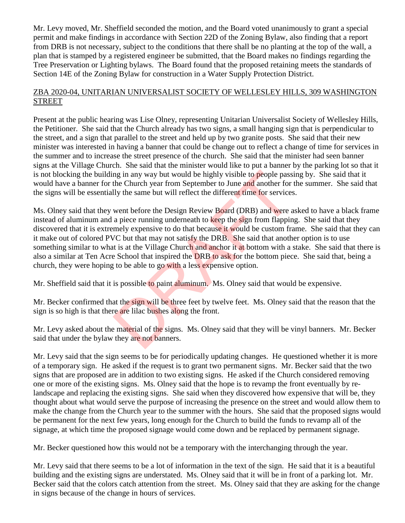Mr. Levy moved, Mr. Sheffield seconded the motion, and the Board voted unanimously to grant a special permit and make findings in accordance with Section 22D of the Zoning Bylaw, also finding that a report from DRB is not necessary, subject to the conditions that there shall be no planting at the top of the wall, a plan that is stamped by a registered engineer be submitted, that the Board makes no findings regarding the Tree Preservation or Lighting bylaws. The Board found that the proposed retaining meets the standards of Section 14E of the Zoning Bylaw for construction in a Water Supply Protection District.

### ZBA 2020-04, UNITARIAN UNIVERSALIST SOCIETY OF WELLESLEY HILLS, 309 WASHINGTON **STREET**

Present at the public hearing was Lise Olney, representing Unitarian Universalist Society of Wellesley Hills, the Petitioner. She said that the Church already has two signs, a small hanging sign that is perpendicular to the street, and a sign that parallel to the street and held up by two granite posts. She said that their new minister was interested in having a banner that could be change out to reflect a change of time for services in the summer and to increase the street presence of the church. She said that the minister had seen banner signs at the Village Church. She said that the minister would like to put a banner by the parking lot so that it is not blocking the building in any way but would be highly visible to people passing by. She said that it would have a banner for the Church year from September to June and another for the summer. She said that the signs will be essentially the same but will reflect the different time for services.

Ms. Olney said that they went before the Design Review Board (DRB) and were asked to have a black frame instead of aluminum and a piece running underneath to keep the sign from flapping. She said that they discovered that it is extremely expensive to do that because it would be custom frame. She said that they can it make out of colored PVC but that may not satisfy the DRB. She said that another option is to use something similar to what is at the Village Church and anchor it at bottom with a stake. She said that there is also a similar at Ten Acre School that inspired the DRB to ask for the bottom piece. She said that, being a church, they were hoping to be able to go with a less expensive option. ng in any way but would be highly visible to people pass<br>the Church year from September to June and another for<br>lly the same but will reflect the different time for service:<br>went before the Design Review Board (DRB) and we

Mr. Sheffield said that it is possible to paint aluminum. Ms. Olney said that would be expensive.

Mr. Becker confirmed that the sign will be three feet by twelve feet. Ms. Olney said that the reason that the sign is so high is that there are lilac bushes along the front.

Mr. Levy asked about the material of the signs. Ms. Olney said that they will be vinyl banners. Mr. Becker said that under the bylaw they are not banners.

Mr. Levy said that the sign seems to be for periodically updating changes. He questioned whether it is more of a temporary sign. He asked if the request is to grant two permanent signs. Mr. Becker said that the two signs that are proposed are in addition to two existing signs. He asked if the Church considered removing one or more of the existing signs. Ms. Olney said that the hope is to revamp the front eventually by relandscape and replacing the existing signs. She said when they discovered how expensive that will be, they thought about what would serve the purpose of increasing the presence on the street and would allow them to make the change from the Church year to the summer with the hours. She said that the proposed signs would be permanent for the next few years, long enough for the Church to build the funds to revamp all of the signage, at which time the proposed signage would come down and be replaced by permanent signage.

Mr. Becker questioned how this would not be a temporary with the interchanging through the year.

Mr. Levy said that there seems to be a lot of information in the text of the sign. He said that it is a beautiful building and the existing signs are understated. Ms. Olney said that it will be in front of a parking lot. Mr. Becker said that the colors catch attention from the street. Ms. Olney said that they are asking for the change in signs because of the change in hours of services.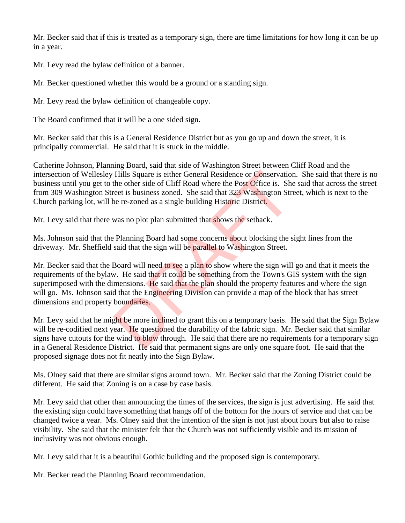Mr. Becker said that if this is treated as a temporary sign, there are time limitations for how long it can be up in a year.

Mr. Levy read the bylaw definition of a banner.

Mr. Becker questioned whether this would be a ground or a standing sign.

Mr. Levy read the bylaw definition of changeable copy.

The Board confirmed that it will be a one sided sign.

Mr. Becker said that this is a General Residence District but as you go up and down the street, it is principally commercial. He said that it is stuck in the middle.

Catherine Johnson, Planning Board, said that side of Washington Street between Cliff Road and the intersection of Wellesley Hills Square is either General Residence or Conservation. She said that there is no business until you get to the other side of Cliff Road where the Post Office is. She said that across the street from 309 Washington Street is business zoned. She said that 323 Washington Street, which is next to the Church parking lot, will be re-zoned as a single building Historic District.

Mr. Levy said that there was no plot plan submitted that shows the setback.

Ms. Johnson said that the Planning Board had some concerns about blocking the sight lines from the driveway. Mr. Sheffield said that the sign will be parallel to Washington Street.

Mr. Becker said that the Board will need to see a plan to show where the sign will go and that it meets the requirements of the bylaw. He said that it could be something from the Town's GIS system with the sign superimposed with the dimensions. He said that the plan should the property features and where the sign will go. Ms. Johnson said that the Engineering Division can provide a map of the block that has street dimensions and property boundaries. Hills Square is either General Residence or Conservation<br>the other side of Cliff Road where the Post Office is. She<br>reet is business zoned. She said that 323 Washington Str<br>be re-zoned as a single building Historic Distric

Mr. Levy said that he might be more inclined to grant this on a temporary basis. He said that the Sign Bylaw will be re-codified next year. He questioned the durability of the fabric sign. Mr. Becker said that similar signs have cutouts for the wind to blow through. He said that there are no requirements for a temporary sign in a General Residence District. He said that permanent signs are only one square foot. He said that the proposed signage does not fit neatly into the Sign Bylaw.

Ms. Olney said that there are similar signs around town. Mr. Becker said that the Zoning District could be different. He said that Zoning is on a case by case basis.

Mr. Levy said that other than announcing the times of the services, the sign is just advertising. He said that the existing sign could have something that hangs off of the bottom for the hours of service and that can be changed twice a year. Ms. Olney said that the intention of the sign is not just about hours but also to raise visibility. She said that the minister felt that the Church was not sufficiently visible and its mission of inclusivity was not obvious enough.

Mr. Levy said that it is a beautiful Gothic building and the proposed sign is contemporary.

Mr. Becker read the Planning Board recommendation.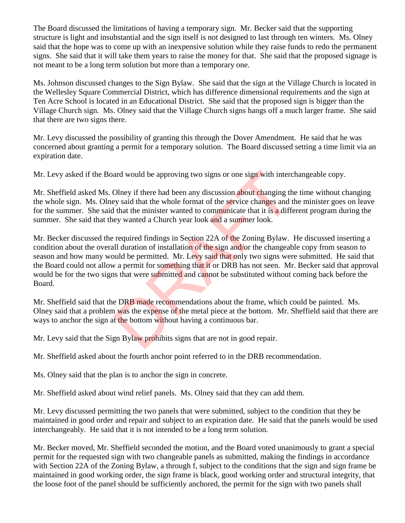The Board discussed the limitations of having a temporary sign. Mr. Becker said that the supporting structure is light and insubstantial and the sign itself is not designed to last through ten winters. Ms. Olney said that the hope was to come up with an inexpensive solution while they raise funds to redo the permanent signs. She said that it will take them years to raise the money for that. She said that the proposed signage is not meant to be a long term solution but more than a temporary one.

Ms. Johnson discussed changes to the Sign Bylaw. She said that the sign at the Village Church is located in the Wellesley Square Commercial District, which has difference dimensional requirements and the sign at Ten Acre School is located in an Educational District. She said that the proposed sign is bigger than the Village Church sign. Ms. Olney said that the Village Church signs hangs off a much larger frame. She said that there are two signs there.

Mr. Levy discussed the possibility of granting this through the Dover Amendment. He said that he was concerned about granting a permit for a temporary solution. The Board discussed setting a time limit via an expiration date.

Mr. Levy asked if the Board would be approving two signs or one sign with interchangeable copy.

Mr. Sheffield asked Ms. Olney if there had been any discussion about changing the time without changing the whole sign. Ms. Olney said that the whole format of the service changes and the minister goes on leave for the summer. She said that the minister wanted to communicate that it is a different program during the summer. She said that they wanted a Church year look and a summer look.

Mr. Becker discussed the required findings in Section 22A of the Zoning Bylaw. He discussed inserting a condition about the overall duration of installation of the sign and/or the changeable copy from season to season and how many would be permitted. Mr. Levy said that only two signs were submitted. He said that the Board could not allow a permit for something that it or DRB has not seen. Mr. Becker said that approval would be for the two signs that were submitted and cannot be substituted without coming back before the Board. and would be approving two signs or one sign with intercomental and would be approving two signs or one sign with intercollecting and the service changes and that the minister wanted to communicate that it is a different w

Mr. Sheffield said that the DRB made recommendations about the frame, which could be painted. Ms. Olney said that a problem was the expense of the metal piece at the bottom. Mr. Sheffield said that there are ways to anchor the sign at the bottom without having a continuous bar.

Mr. Levy said that the Sign Bylaw prohibits signs that are not in good repair.

Mr. Sheffield asked about the fourth anchor point referred to in the DRB recommendation.

Ms. Olney said that the plan is to anchor the sign in concrete.

Mr. Sheffield asked about wind relief panels. Ms. Olney said that they can add them.

Mr. Levy discussed permitting the two panels that were submitted, subject to the condition that they be maintained in good order and repair and subject to an expiration date. He said that the panels would be used interchangeably. He said that it is not intended to be a long term solution.

Mr. Becker moved, Mr. Sheffield seconded the motion, and the Board voted unanimously to grant a special permit for the requested sign with two changeable panels as submitted, making the findings in accordance with Section 22A of the Zoning Bylaw, a through f, subject to the conditions that the sign and sign frame be maintained in good working order, the sign frame is black, good working order and structural integrity, that the loose foot of the panel should be sufficiently anchored, the permit for the sign with two panels shall